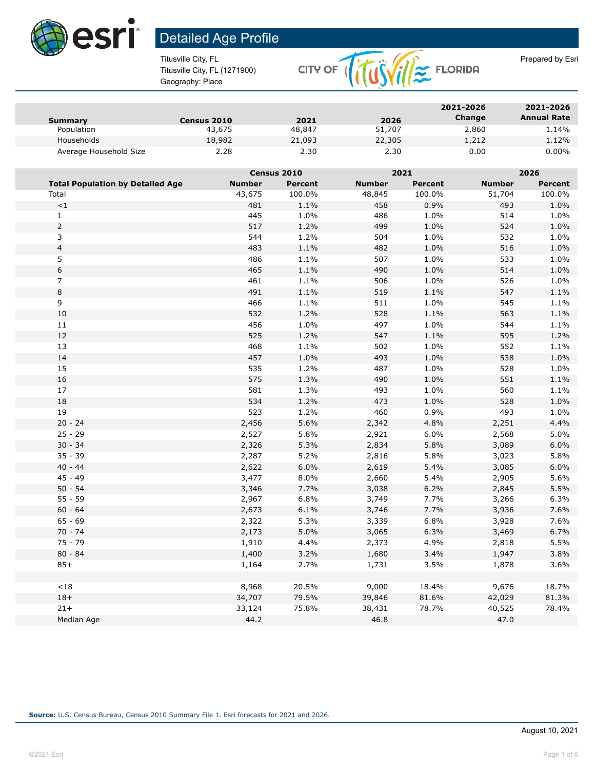

Titusville City, FL (1271900) Geography: Place



| Summary                | <b>Census 2010</b> | 2021   | 2026   | 2021-2026<br>Change | 2021-2026<br><b>Annual Rate</b> |
|------------------------|--------------------|--------|--------|---------------------|---------------------------------|
| Population             | 43,675             | 48,847 | 51,707 | 2,860               | 1.14%                           |
| Households             | 18,982             | 21,093 | 22,305 | 1,212               | 1.12%                           |
| Average Household Size | 2.28               | 2.30   | 2.30   | 0.00                | $0.00\%$                        |

|                                         |               | Census 2010 |               | 2021           |               | 2026           |  |
|-----------------------------------------|---------------|-------------|---------------|----------------|---------------|----------------|--|
| <b>Total Population by Detailed Age</b> | <b>Number</b> | Percent     | <b>Number</b> | <b>Percent</b> | <b>Number</b> | <b>Percent</b> |  |
| Total                                   | 43,675        | 100.0%      | 48,845        | 100.0%         | 51,704        | 100.0%         |  |
| <1                                      | 481           | 1.1%        | 458           | 0.9%           | 493           | 1.0%           |  |
| $\mathbf{1}$                            | 445           | 1.0%        | 486           | 1.0%           | 514           | 1.0%           |  |
| $\overline{2}$                          | 517           | 1.2%        | 499           | 1.0%           | 524           | 1.0%           |  |
| 3                                       | 544           | 1.2%        | 504           | 1.0%           | 532           | 1.0%           |  |
| $\overline{\mathbf{4}}$                 | 483           | 1.1%        | 482           | 1.0%           | 516           | 1.0%           |  |
| 5                                       | 486           | 1.1%        | 507           | 1.0%           | 533           | 1.0%           |  |
| $\boldsymbol{6}$                        | 465           | 1.1%        | 490           | 1.0%           | 514           | 1.0%           |  |
| $\overline{7}$                          | 461           | 1.1%        | 506           | 1.0%           | 526           | 1.0%           |  |
| $\,8\,$                                 | 491           | 1.1%        | 519           | 1.1%           | 547           | 1.1%           |  |
| 9                                       | 466           | 1.1%        | 511           | 1.0%           | 545           | 1.1%           |  |
| 10                                      | 532           | 1.2%        | 528           | 1.1%           | 563           | 1.1%           |  |
| 11                                      | 456           | 1.0%        | 497           | 1.0%           | 544           | 1.1%           |  |
| 12                                      | 525           | 1.2%        | 547           | 1.1%           | 595           | 1.2%           |  |
| 13                                      | 468           | 1.1%        | 502           | 1.0%           | 552           | 1.1%           |  |
| 14                                      | 457           | 1.0%        | 493           | 1.0%           | 538           | 1.0%           |  |
| 15                                      | 535           | 1.2%        | 487           | 1.0%           | 528           | 1.0%           |  |
| 16                                      | 575           | 1.3%        | 490           | 1.0%           | 551           | 1.1%           |  |
| 17                                      | 581           | 1.3%        | 493           | 1.0%           | 560           | 1.1%           |  |
| 18                                      | 534           | 1.2%        | 473           | 1.0%           | 528           | 1.0%           |  |
| 19                                      | 523           | 1.2%        | 460           | 0.9%           | 493           | 1.0%           |  |
| $20 - 24$                               | 2,456         | 5.6%        | 2,342         | 4.8%           | 2,251         | 4.4%           |  |
| $25 - 29$                               | 2,527         | 5.8%        | 2,921         | 6.0%           | 2,568         | 5.0%           |  |
| $30 - 34$                               | 2,326         | 5.3%        | 2,834         | 5.8%           | 3,089         | 6.0%           |  |
| $35 - 39$                               | 2,287         | 5.2%        | 2,816         | 5.8%           | 3,023         | 5.8%           |  |
| $40 - 44$                               | 2,622         | 6.0%        | 2,619         | 5.4%           | 3,085         | 6.0%           |  |
| $45 - 49$                               | 3,477         | 8.0%        | 2,660         | 5.4%           | 2,905         | 5.6%           |  |
| $50 - 54$                               | 3,346         | 7.7%        | 3,038         | 6.2%           | 2,845         | 5.5%           |  |
| $55 - 59$                               | 2,967         | 6.8%        | 3,749         | 7.7%           | 3,266         | 6.3%           |  |
| $60 - 64$                               | 2,673         | 6.1%        | 3,746         | 7.7%           | 3,936         | 7.6%           |  |
| $65 - 69$                               | 2,322         | 5.3%        | 3,339         | 6.8%           | 3,928         | 7.6%           |  |
| $70 - 74$                               | 2,173         | 5.0%        | 3,065         | 6.3%           | 3,469         | 6.7%           |  |
| $75 - 79$                               | 1,910         | 4.4%        | 2,373         | 4.9%           | 2,818         | 5.5%           |  |
| $80 - 84$                               | 1,400         | 3.2%        | 1,680         | 3.4%           | 1,947         | 3.8%           |  |
| $85+$                                   | 1,164         | 2.7%        | 1,731         | 3.5%           | 1,878         | 3.6%           |  |
|                                         |               |             |               |                |               |                |  |
| $<18$                                   | 8,968         | 20.5%       | 9,000         | 18.4%          | 9,676         | 18.7%          |  |
| $18+$                                   | 34,707        | 79.5%       | 39,846        | 81.6%          | 42,029        | 81.3%          |  |
| $21+$                                   | 33,124        | 75.8%       | 38,431        | 78.7%          | 40,525        | 78.4%          |  |
| Median Age                              | 44.2          |             | 46.8          |                | 47.0          |                |  |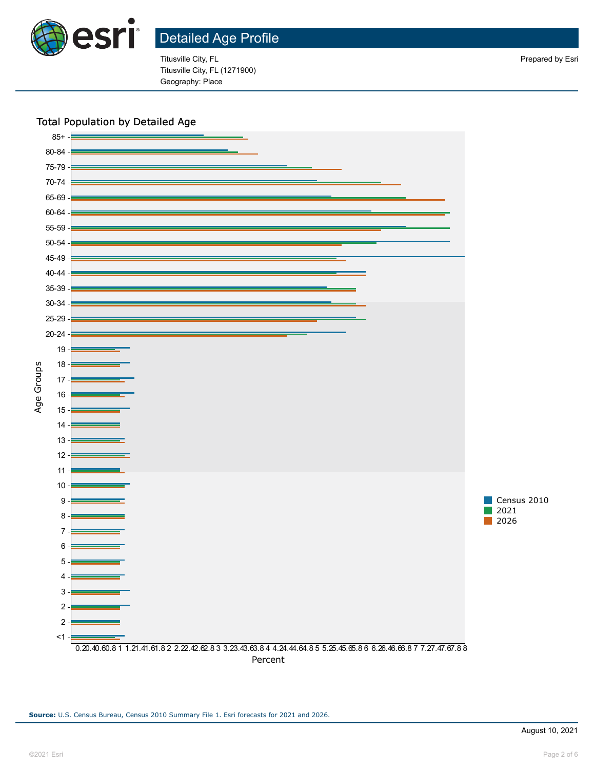

Titusville City, FL **Prepared by Esri** Prepared by Esri Titusville City, FL (1271900) Geography: Place

#### Total Population by Detailed Age

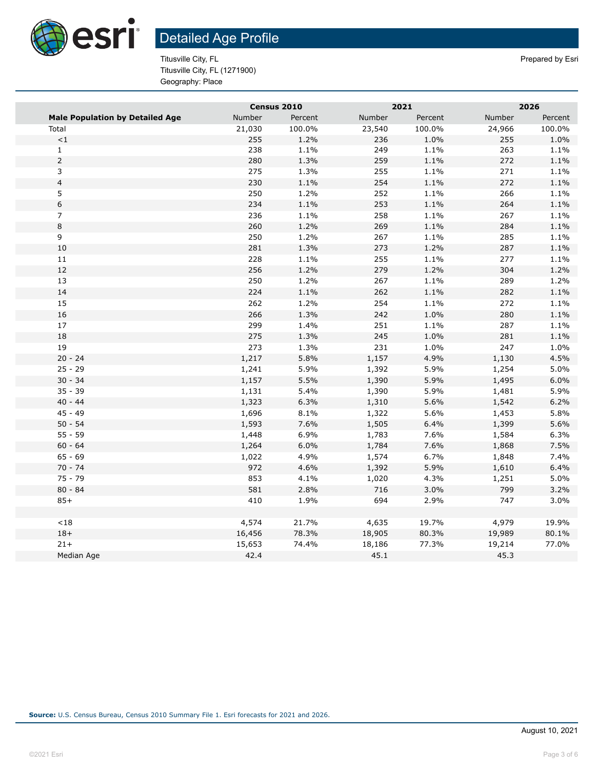

Titusville City, FL Prepared by Esri Titusville City, FL (1271900) Geography: Place

|                                        | Census 2010 |         | 2021   |         | 2026   |         |  |
|----------------------------------------|-------------|---------|--------|---------|--------|---------|--|
| <b>Male Population by Detailed Age</b> | Number      | Percent | Number | Percent | Number | Percent |  |
| Total                                  | 21,030      | 100.0%  | 23,540 | 100.0%  | 24,966 | 100.0%  |  |
| $\!<\!1$                               | 255         | 1.2%    | 236    | 1.0%    | 255    | 1.0%    |  |
| $\mathbf{1}$                           | 238         | 1.1%    | 249    | 1.1%    | 263    | 1.1%    |  |
| $\overline{2}$                         | 280         | 1.3%    | 259    | 1.1%    | 272    | 1.1%    |  |
| 3                                      | 275         | 1.3%    | 255    | 1.1%    | 271    | 1.1%    |  |
| $\overline{\mathbf{4}}$                | 230         | 1.1%    | 254    | 1.1%    | 272    | 1.1%    |  |
| 5                                      | 250         | 1.2%    | 252    | 1.1%    | 266    | 1.1%    |  |
| $\,$ 6 $\,$                            | 234         | 1.1%    | 253    | 1.1%    | 264    | 1.1%    |  |
| $\overline{7}$                         | 236         | 1.1%    | 258    | 1.1%    | 267    | 1.1%    |  |
| $\,8\,$                                | 260         | 1.2%    | 269    | 1.1%    | 284    | 1.1%    |  |
| 9                                      | 250         | 1.2%    | 267    | 1.1%    | 285    | 1.1%    |  |
| $10\,$                                 | 281         | 1.3%    | 273    | 1.2%    | 287    | 1.1%    |  |
| 11                                     | 228         | 1.1%    | 255    | 1.1%    | 277    | 1.1%    |  |
| $12\,$                                 | 256         | 1.2%    | 279    | 1.2%    | 304    | 1.2%    |  |
| 13                                     | 250         | 1.2%    | 267    | 1.1%    | 289    | 1.2%    |  |
| 14                                     | 224         | 1.1%    | 262    | 1.1%    | 282    | 1.1%    |  |
| 15                                     | 262         | 1.2%    | 254    | 1.1%    | 272    | 1.1%    |  |
| 16                                     | 266         | 1.3%    | 242    | 1.0%    | 280    | 1.1%    |  |
| 17                                     | 299         | 1.4%    | 251    | 1.1%    | 287    | 1.1%    |  |
| 18                                     | 275         | 1.3%    | 245    | 1.0%    | 281    | 1.1%    |  |
| 19                                     | 273         | 1.3%    | 231    | 1.0%    | 247    | 1.0%    |  |
| $20 - 24$                              | 1,217       | 5.8%    | 1,157  | 4.9%    | 1,130  | 4.5%    |  |
| $25 - 29$                              | 1,241       | 5.9%    | 1,392  | 5.9%    | 1,254  | 5.0%    |  |
| $30 - 34$                              | 1,157       | 5.5%    | 1,390  | 5.9%    | 1,495  | 6.0%    |  |
| $35 - 39$                              | 1,131       | 5.4%    | 1,390  | 5.9%    | 1,481  | 5.9%    |  |
| $40 - 44$                              | 1,323       | 6.3%    | 1,310  | 5.6%    | 1,542  | 6.2%    |  |
| $45 - 49$                              | 1,696       | 8.1%    | 1,322  | 5.6%    | 1,453  | 5.8%    |  |
| $50 - 54$                              | 1,593       | 7.6%    | 1,505  | 6.4%    | 1,399  | 5.6%    |  |
| $55 - 59$                              | 1,448       | 6.9%    | 1,783  | 7.6%    | 1,584  | 6.3%    |  |
| $60 - 64$                              | 1,264       | 6.0%    | 1,784  | 7.6%    | 1,868  | 7.5%    |  |
| $65 - 69$                              | 1,022       | 4.9%    | 1,574  | 6.7%    | 1,848  | 7.4%    |  |
| $70 - 74$                              | 972         | 4.6%    | 1,392  | 5.9%    | 1,610  | 6.4%    |  |
| $75 - 79$                              | 853         | 4.1%    | 1,020  | 4.3%    | 1,251  | 5.0%    |  |
| $80 - 84$                              | 581         | 2.8%    | 716    | 3.0%    | 799    | 3.2%    |  |
| $85+$                                  | 410         | 1.9%    | 694    | 2.9%    | 747    | 3.0%    |  |
|                                        |             |         |        |         |        |         |  |
| < 18                                   | 4,574       | 21.7%   | 4,635  | 19.7%   | 4,979  | 19.9%   |  |
| $18+$                                  | 16,456      | 78.3%   | 18,905 | 80.3%   | 19,989 | 80.1%   |  |
| $21+$                                  | 15,653      | 74.4%   | 18,186 | 77.3%   | 19,214 | 77.0%   |  |
| Median Age                             | 42.4        |         | 45.1   |         | 45.3   |         |  |
|                                        |             |         |        |         |        |         |  |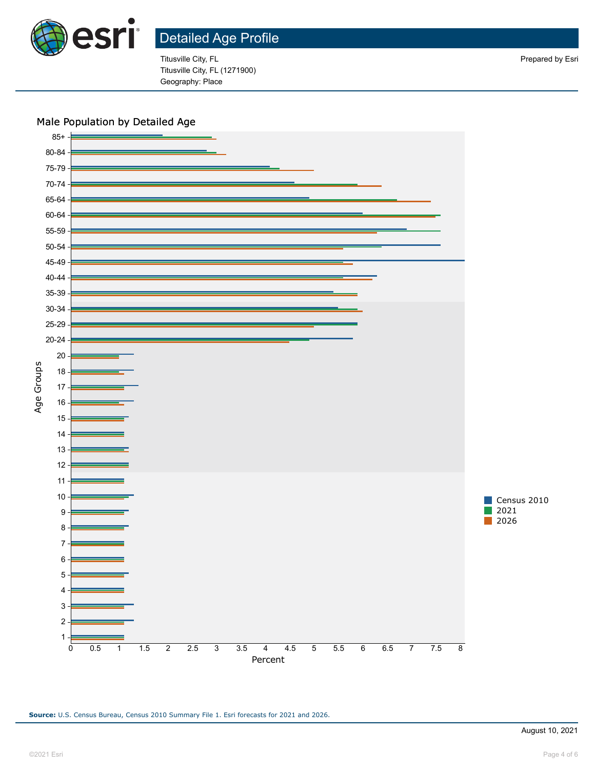

Titusville City, FL Prepared by Esri Titusville City, FL (1271900) Geography: Place

#### Male Population by Detailed Age



**Source:** U.S. Census Bureau, Census 2010 Summary File 1. Esri forecasts for 2021 and 2026.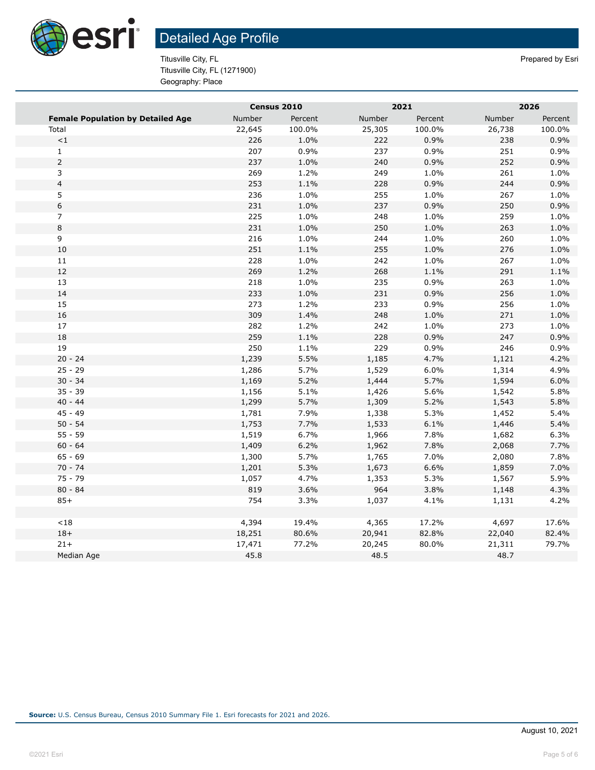

Titusville City, FL Prepared by Esri Titusville City, FL (1271900) Geography: Place

|                                          | Census 2010 |         | 2021   |         | 2026   |         |  |
|------------------------------------------|-------------|---------|--------|---------|--------|---------|--|
| <b>Female Population by Detailed Age</b> | Number      | Percent | Number | Percent | Number | Percent |  |
| Total                                    | 22,645      | 100.0%  | 25,305 | 100.0%  | 26,738 | 100.0%  |  |
| $\!<\!1$                                 | 226         | 1.0%    | 222    | 0.9%    | 238    | 0.9%    |  |
| $\mathbf{1}$                             | 207         | 0.9%    | 237    | 0.9%    | 251    | 0.9%    |  |
| $\overline{2}$                           | 237         | 1.0%    | 240    | 0.9%    | 252    | 0.9%    |  |
| 3                                        | 269         | 1.2%    | 249    | 1.0%    | 261    | 1.0%    |  |
| $\overline{\mathbf{4}}$                  | 253         | 1.1%    | 228    | 0.9%    | 244    | 0.9%    |  |
| 5                                        | 236         | 1.0%    | 255    | 1.0%    | 267    | 1.0%    |  |
| 6                                        | 231         | 1.0%    | 237    | 0.9%    | 250    | 0.9%    |  |
| 7                                        | 225         | 1.0%    | 248    | 1.0%    | 259    | 1.0%    |  |
| 8                                        | 231         | 1.0%    | 250    | 1.0%    | 263    | 1.0%    |  |
| 9                                        | 216         | 1.0%    | 244    | 1.0%    | 260    | 1.0%    |  |
| 10                                       | 251         | 1.1%    | 255    | 1.0%    | 276    | 1.0%    |  |
| 11                                       | 228         | 1.0%    | 242    | 1.0%    | 267    | 1.0%    |  |
| 12                                       | 269         | 1.2%    | 268    | 1.1%    | 291    | 1.1%    |  |
| 13                                       | 218         | 1.0%    | 235    | 0.9%    | 263    | 1.0%    |  |
| 14                                       | 233         | 1.0%    | 231    | 0.9%    | 256    | 1.0%    |  |
| 15                                       | 273         | 1.2%    | 233    | 0.9%    | 256    | 1.0%    |  |
| 16                                       | 309         | 1.4%    | 248    | 1.0%    | 271    | 1.0%    |  |
| 17                                       | 282         | 1.2%    | 242    | 1.0%    | 273    | 1.0%    |  |
| 18                                       | 259         | 1.1%    | 228    | 0.9%    | 247    | 0.9%    |  |
| 19                                       | 250         | 1.1%    | 229    | 0.9%    | 246    | 0.9%    |  |
| $20 - 24$                                | 1,239       | 5.5%    | 1,185  | 4.7%    | 1,121  | 4.2%    |  |
| $25 - 29$                                | 1,286       | 5.7%    | 1,529  | 6.0%    | 1,314  | 4.9%    |  |
| $30 - 34$                                | 1,169       | 5.2%    | 1,444  | 5.7%    | 1,594  | 6.0%    |  |
| $35 - 39$                                | 1,156       | 5.1%    | 1,426  | 5.6%    | 1,542  | 5.8%    |  |
| $40 - 44$                                | 1,299       | 5.7%    | 1,309  | 5.2%    | 1,543  | 5.8%    |  |
| $45 - 49$                                | 1,781       | 7.9%    | 1,338  | 5.3%    | 1,452  | 5.4%    |  |
| $50 - 54$                                | 1,753       | 7.7%    | 1,533  | 6.1%    | 1,446  | 5.4%    |  |
| $55 - 59$                                | 1,519       | 6.7%    | 1,966  | 7.8%    | 1,682  | 6.3%    |  |
| $60 - 64$                                | 1,409       | 6.2%    | 1,962  | 7.8%    | 2,068  | 7.7%    |  |
| $65 - 69$                                | 1,300       | 5.7%    | 1,765  | 7.0%    | 2,080  | 7.8%    |  |
| $70 - 74$                                | 1,201       | 5.3%    | 1,673  | 6.6%    | 1,859  | 7.0%    |  |
| $75 - 79$                                | 1,057       | 4.7%    | 1,353  | 5.3%    | 1,567  | 5.9%    |  |
| $80 - 84$                                | 819         | 3.6%    | 964    | 3.8%    | 1,148  | 4.3%    |  |
| $85+$                                    | 754         | 3.3%    | 1,037  | 4.1%    | 1,131  | 4.2%    |  |
|                                          |             |         |        |         |        |         |  |
| < 18                                     | 4,394       | 19.4%   | 4,365  | 17.2%   | 4,697  | 17.6%   |  |
| $18+$                                    | 18,251      | 80.6%   | 20,941 | 82.8%   | 22,040 | 82.4%   |  |
| $21+$                                    | 17,471      | 77.2%   | 20,245 | 80.0%   | 21,311 | 79.7%   |  |
| Median Age                               | 45.8        |         | 48.5   |         | 48.7   |         |  |
|                                          |             |         |        |         |        |         |  |